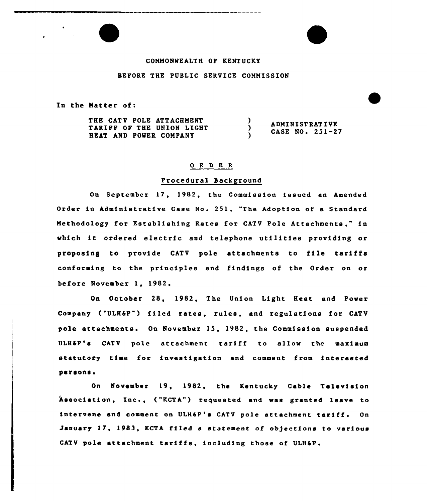# COMMONWEALTH OF KENTUCKY

### BEFORE THE PUBLIC SERVICE COMMISSION

In the Matter of:

THE CATV POLE ATTACHMENT  $\lambda$ ADMINI ST RAT IVE TARIFF OF THE UNION LIGHT  $\lambda$ CASE NO. 251-27 HEAT AND POWER COMPANY Y.

### 0 R <sup>D</sup> E R

## Procedural Background

On September 17, 1982, the Commission issued an Amended Order in Administrative Case No. 251, "The Adoption of a Stand<mark>ar</mark> Methodology for Establishing Rates for CATV Pole " in which it ordered electric and telephone utilities providing or proposing to provide CATV pole attachments to file tariffs conforming to the principles and findings of the Order on or before November 1, 1982.

On October 28, 1982, The Union Light Heat and Power Company ("ULH&P") filed rates, rules, and regulations for CATV pole attachments. On November 15, 1982, the Commission suspended ULH&P's CATV pole attachment tariff to allow the maximum statutory time for investigation and comment from interested persons.

On November 19, 1982, the Kentucky Cable Television Association, Inc., ("KCTA") requested and was granted leave to intervene and comment on ULH&P's CATV pole attachment tariff. On January ll, 1983, KCTA filed <sup>a</sup> statement of objections to various CATV pole attachment tariffs, including those of ULH&P.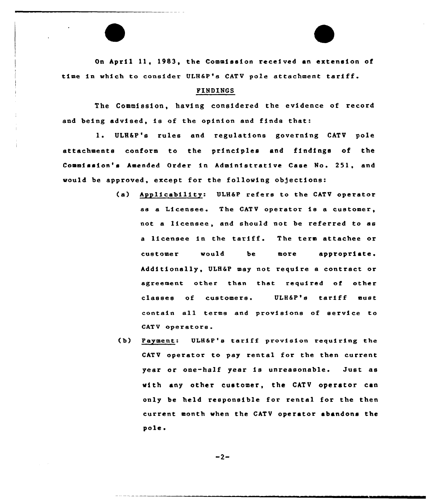On April 11, 1983, the Commission received an extension of time in which to consider ULH6P's CATV pole attachment tariff.

#### FINDINGS

The Commission, having considered the evidence of record and being advised, is of the opinion and finds that:

1. ULH&P's rules and regulations governing CATV pole attachments conform to the principles and findings of the Commission's Amended Order in Administrative Case No. 251, and would be approved, except for the following objections:

- (a) Applicability: ULH&P refers to the CATV operator as <sup>a</sup> Licensee. The CATV operator is <sup>a</sup> customer, not a licensee, and should not be referred to as <sup>a</sup> licensee in the tariff. The term attaches or customer would be more appropriate. Additionally, ULH&P may not require a contract or agreement other than that required of other classes of customers. ULH&P's tariff must contain all terms and provisions of service to CATV operators.
- (b) Payment: ULH&P's tariff provision requiring the CATV operator to pay rental for the then current year or one-half year is unreasonable. Just as with any other customer, the CATV operator can only be held responsible for rental for the then current month when the CATV operator abandons the pole.

 $-2-$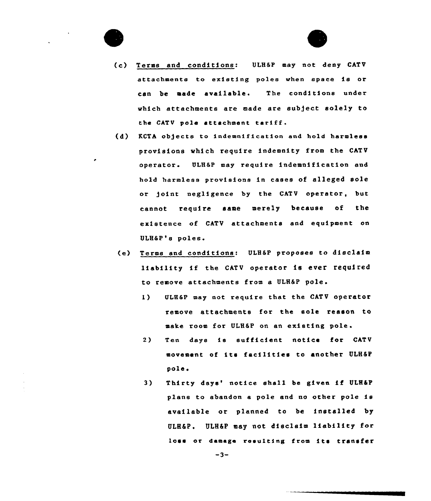



- (c) Terms and conditions: ULH&P may not deny CATV attachments to existing poles when space is or can be made available. The conditions under ~hich attachments are made are subject solely to the CATV pole attachment tariff.
- (d) KCTA objects to indemnification and hold harmless provisions which require indemnity from the CATV operator. ULH&P may require indemnification and hold harmless provisions in cases of alleged sole or point negligence by the CATV operator, but cannot require same merely because of the existence of CATV attachments and equipment on ULH&P's poles.
- (e) Terms and conditions: ULB&P proposes to disclaim liability if the CATV operator is evet required to rewove attachments from a ULH&P pole.
	- l) ULH&P may not require that the CATV operator remove attachments for the sole reason to make room for ULH&P on an existing pole.
	- 2) Ten days is sufficient notice for CATV movement of its facilities to another ULH&P pole <sup>~</sup>
	- 3) Thirty days' notice shall be given if ULH&P plans to abandon <sup>a</sup> pole and no other pole is available or planned to be installed by ULH&P. ULH&P may not disclaim liability for loss or damage resulting from its transfer

 $-3-$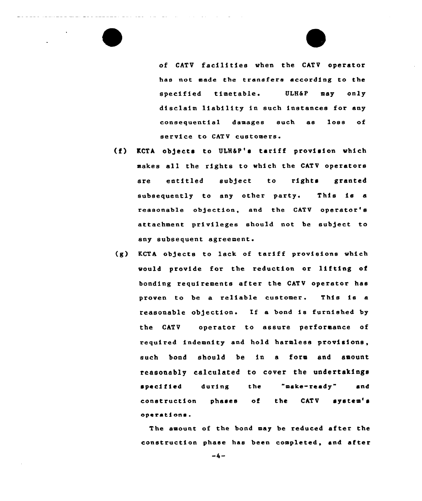of CATV facilities when the CATV operator has not made the transfers according to the specified timetable. ULH&P may only disclaim liability in such instances for any consequential damages such as loss of service to CATV customers.

(f) KCTA objects to ULH&P's tariff provision which makes all the rights to which the CATV operators are entitled subject to rights granted subsequently to any other party. This is a reasonable objection, and the CATV operator's attachment privileges should not be sub)ect to any subsequent agreement.

and the state of the state of the

(g) KCTA objects to lack of taxiff pxovieions which would provide for the reduction or lifting of bonding requirements after the CATV operator hae proven to be a reliable customer. This is a reasonable ob)ection. If <sup>a</sup> bond ie fuxnished by the CATV operator to assure performance of required indemnity and hold harmless provisions, such bond should be in a form and amount reasonably calculated to cover the undertakings specified during the "make-ready" and construction phases of the CATV system's operations.

The amount of the bond may be reduced after the construction phase hae been completed, and after

 $-4-$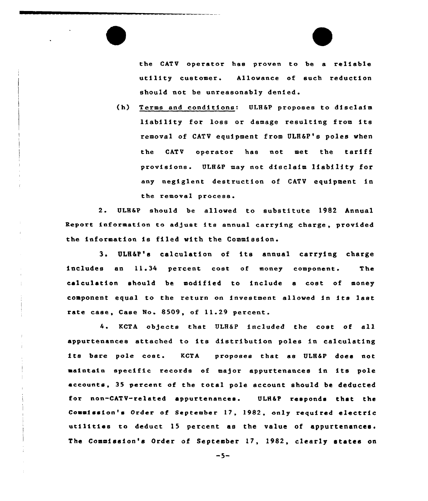the CATV operator has proven to be a reliable utility customer. Allowance of such reduction should not be unreasonably denied.

{h) Terms and conditions: ULH&P proposes to disclaim liability for loss or damage resulting from its removal of CATV equipment from ULH&P's poles when the CATV operator has not met the tariff provisions. ULHEP may not disclaim liability for any negiglent destruction of CATV equipment in the removal

 $2.$ ULH&P should be allowed to substitute 1982 Annual Report information to adjust its annual carrying charge, provided the information is filed with the Commission.

3. ULH&P's calculation of its annual carrying charge includes an 11.34 percent cost of money component. The calculation should be modified to include a cost of money component equal to the return on investment allowed in its last rate case, Case No. 8509, of 11.29 percent.

4. KCTA objects that ULH&P included the cost of all appurtenances attached to its distribution poles in calculating its bare pole cost. KCTA proposes that ss ULH&P does not maintain specific records of major appurtenances in its pole accounts, 35 percent of the total pole account should be deducted for non-CATV-related appurtenances. ULH&P responds that the Commission's Order of September 17, 1982, only required electric utilities to deduct 15 percent as the value of appurtenances. The Commission's Order of September 17, 1982, clearly states on

 $-5-$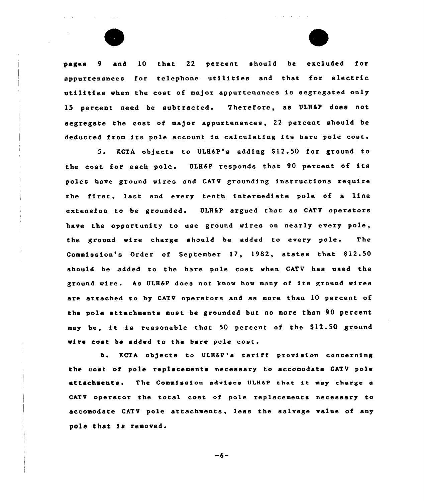

pages 9 and 10 that 22 percent should be excluded for appurtenances for telephone utilities and that for electric utilities when the cost of ma)or appurtenances is segregated only 15 percent need be subtracted. Therefore, as ULH&P does not segregate the cost of major appurtenances, 22 percent should be deducted from its pole account in calculating its bare pole cost.

5. KCTA objects to ULH&P's adding \$12.50 for ground to the cost for each pole. ULH6P responds that 90 percent of its poles have ground wires and CATV grounding instructions require the first, last and every tenth intermediate pole of <sup>a</sup> line extension to be grounded. ULHSP argued that as CATV operators have the opportunity to use ground wires on nearly every pole, the ground wire charge should be added to every pole. The Commission's Order of September 17, 1982, states that \$12.50 should be added to the bare pole cost when CATV has used the ground wire. As ULH&P does not know how many of its ground wires are attached to by CATV operators and as more than 10 percent of the pole attachments must be grounded but no more than 90 percent may be, it is reasonable that 50 percent of the \$12.50 ground wire cost be added to the bare pole cost.

6. KCTA objects to ULH&P's tariff provision concerning the cost of pole replacements necessary to accomodate CATV pole attachments. The Commission advises ULH&P that it may charge a CATV operator the total cost of pole replacements necessary to accomodate CATV pole attachments, less the salvage value of any pole that is removed.

 $-6-$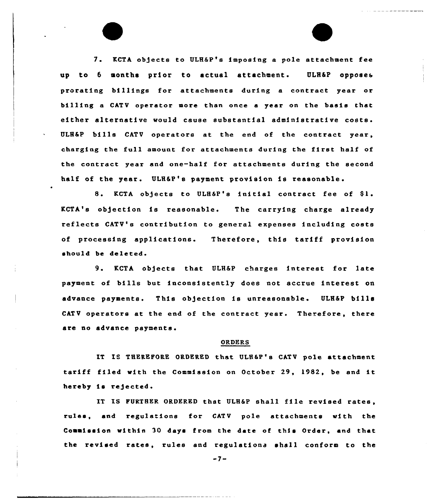7. KCTA objects to ULH&P'e imposing <sup>a</sup> pole attachment fee up to 6 months prior to actual attachment. ULH&P opposes prorating billings for attachments during a contract year or billing a CATV operator more than once <sup>a</sup> year on the basis that either alternative would cause substantial administrative costs. ULH&P bills CATV operatore at the end of the contract year, charging the full amount for attachments during the first half of the contract year and one-half for attachments during the second half of the year. ULH&P's payment provision is reasonable'.

KCTA objects to ULH&P's initial contract fee of Sl. KCTA's objection is reasonable. The carrying charge already reflects CATV'e contribution to general expenses including costs of processing applications. Therefore, this tariff provision should be deleted.

9. KCTA objects that ULH&P charges interest for late payment of bills but inconsistently does not accrue interest on advance paymente. This objection is unreasonable. ULH&P bills CATV operators at the end of the contract year. Therefore, there are no advance payments.

## ORDERS

IT IS THEREPORE ORDERED that ULH&P'e CATV pole attachment tariff filed with the Commission on October 29, 1982, be and it hereby is rejected.

IT IS FURTHER ORDERED that ULH&P shall file revised rates. rules, and regulations for CATV pole attachments with the Commission within 30 days from the date of this Order, and that the revised rates, rules and regulationa shall conform to the

 $-7-$